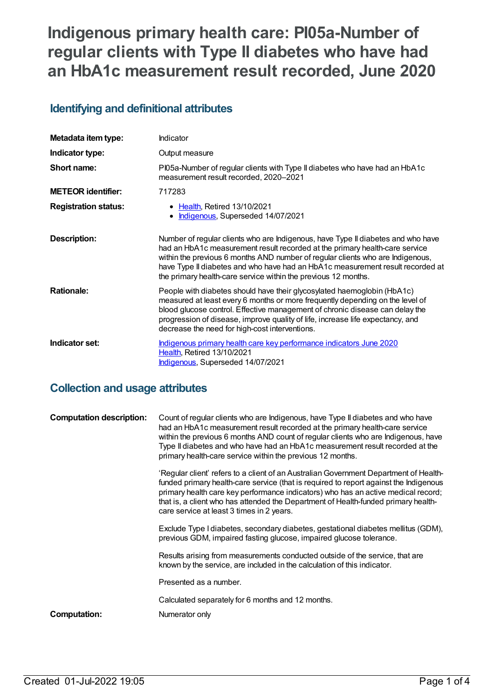# **Indigenous primary health care: PI05a-Number of regular clients with Type II diabetes who have had an HbA1c measurement result recorded, June 2020**

## **Identifying and definitional attributes**

| Metadata item type:         | Indicator                                                                                                                                                                                                                                                                                                                                                                                             |
|-----------------------------|-------------------------------------------------------------------------------------------------------------------------------------------------------------------------------------------------------------------------------------------------------------------------------------------------------------------------------------------------------------------------------------------------------|
| Indicator type:             | Output measure                                                                                                                                                                                                                                                                                                                                                                                        |
| Short name:                 | PI05a-Number of regular clients with Type II diabetes who have had an HbA1c<br>measurement result recorded, 2020-2021                                                                                                                                                                                                                                                                                 |
| <b>METEOR identifier:</b>   | 717283                                                                                                                                                                                                                                                                                                                                                                                                |
| <b>Registration status:</b> | • Health, Retired 13/10/2021<br>Indigenous, Superseded 14/07/2021                                                                                                                                                                                                                                                                                                                                     |
| <b>Description:</b>         | Number of regular clients who are Indigenous, have Type II diabetes and who have<br>had an HbA1c measurement result recorded at the primary health-care service<br>within the previous 6 months AND number of regular clients who are Indigenous,<br>have Type II diabetes and who have had an HbA1c measurement result recorded at<br>the primary health-care service within the previous 12 months. |
| <b>Rationale:</b>           | People with diabetes should have their glycosylated haemoglobin (HbA1c)<br>measured at least every 6 months or more frequently depending on the level of<br>blood glucose control. Effective management of chronic disease can delay the<br>progression of disease, improve quality of life, increase life expectancy, and<br>decrease the need for high-cost interventions.                          |
| Indicator set:              | Indigenous primary health care key performance indicators June 2020<br>Health, Retired 13/10/2021<br>Indigenous, Superseded 14/07/2021                                                                                                                                                                                                                                                                |

## **Collection and usage attributes**

| <b>Computation description:</b> | Count of regular clients who are Indigenous, have Type II diabetes and who have<br>had an HbA1c measurement result recorded at the primary health-care service<br>within the previous 6 months AND count of regular clients who are Indigenous, have<br>Type II diabetes and who have had an HbA1c measurement result recorded at the<br>primary health-care service within the previous 12 months.    |
|---------------------------------|--------------------------------------------------------------------------------------------------------------------------------------------------------------------------------------------------------------------------------------------------------------------------------------------------------------------------------------------------------------------------------------------------------|
|                                 | 'Regular client' refers to a client of an Australian Government Department of Health-<br>funded primary health-care service (that is required to report against the Indigenous<br>primary health care key performance indicators) who has an active medical record;<br>that is, a client who has attended the Department of Health-funded primary health-<br>care service at least 3 times in 2 years. |
|                                 | Exclude Type I diabetes, secondary diabetes, gestational diabetes mellitus (GDM),<br>previous GDM, impaired fasting glucose, impaired glucose tolerance.                                                                                                                                                                                                                                               |
|                                 | Results arising from measurements conducted outside of the service, that are<br>known by the service, are included in the calculation of this indicator.                                                                                                                                                                                                                                               |
|                                 | Presented as a number.                                                                                                                                                                                                                                                                                                                                                                                 |
|                                 | Calculated separately for 6 months and 12 months.                                                                                                                                                                                                                                                                                                                                                      |
| <b>Computation:</b>             | Numerator only                                                                                                                                                                                                                                                                                                                                                                                         |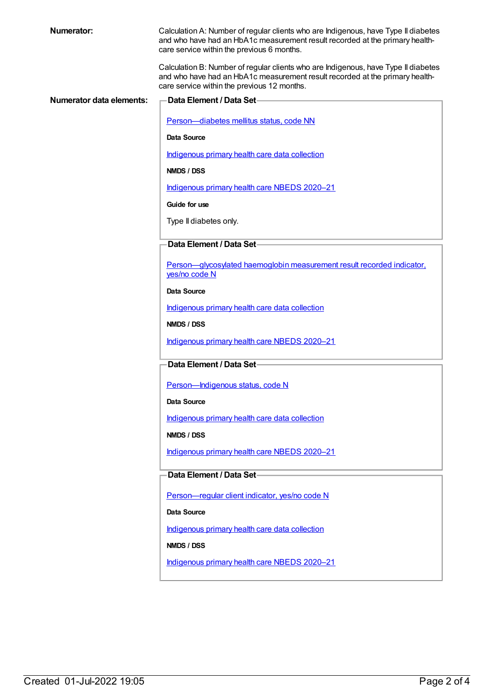Calculation A: Number of regular clients who are Indigenous, have Type II diabetes and who have had an HbA1c measurement result recorded at the primary healthcare service within the previous 6 months.

Calculation B: Number of regular clients who are Indigenous, have Type II diabetes and who have had an HbA1c measurement result recorded at the primary healthcare service within the previous 12 months.

| <b>Numerator data elements:</b> | Data Element / Data Set-                                                                |
|---------------------------------|-----------------------------------------------------------------------------------------|
|                                 | Person-diabetes mellitus status, code NN                                                |
|                                 | <b>Data Source</b>                                                                      |
|                                 | Indigenous primary health care data collection                                          |
|                                 | NMDS / DSS                                                                              |
|                                 | Indigenous primary health care NBEDS 2020-21                                            |
|                                 | Guide for use                                                                           |
|                                 | Type II diabetes only.                                                                  |
|                                 | Data Element / Data Set-                                                                |
|                                 |                                                                                         |
|                                 | Person-glycosylated haemoglobin measurement result recorded indicator,<br>yes/no code N |
|                                 | Data Source                                                                             |
|                                 | Indigenous primary health care data collection                                          |
|                                 | NMDS / DSS                                                                              |
|                                 | Indigenous primary health care NBEDS 2020-21                                            |
|                                 | Data Element / Data Set-                                                                |
|                                 | Person-Indigenous status, code N                                                        |
|                                 | <b>Data Source</b>                                                                      |
|                                 | Indigenous primary health care data collection                                          |
|                                 | NMDS / DSS                                                                              |
|                                 | Indigenous primary health care NBEDS 2020-21                                            |
|                                 | Data Element / Data Set                                                                 |
|                                 | Person-regular client indicator, yes/no code N                                          |
|                                 | Data Source                                                                             |
|                                 | Indigenous primary health care data collection                                          |
|                                 | NMDS / DSS                                                                              |
|                                 | Indigenous primary health care NBEDS 2020-21                                            |
|                                 |                                                                                         |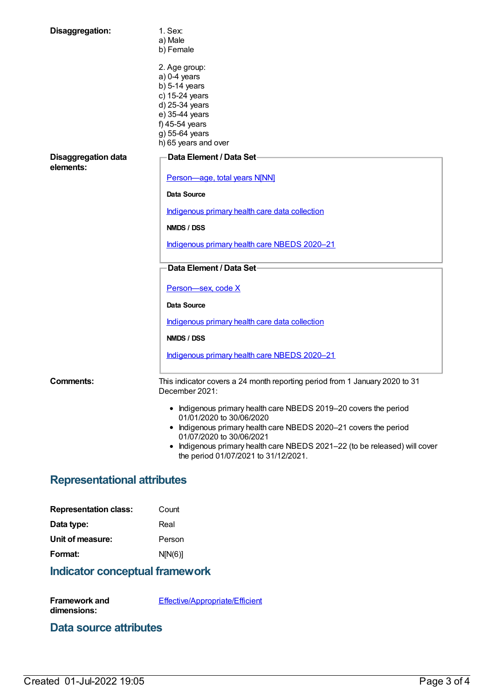| Disaggregation:                         | $1.$ Sex:<br>a) Male<br>b) Female                                                                                                                                    |  |
|-----------------------------------------|----------------------------------------------------------------------------------------------------------------------------------------------------------------------|--|
|                                         | 2. Age group:<br>$a)$ 0-4 years<br>$b)$ 5-14 years<br>c) 15-24 years<br>d) 25-34 years<br>e) 35-44 years<br>f) 45-54 years<br>g) 55-64 years<br>h) 65 years and over |  |
| <b>Disaggregation data</b><br>elements: | Data Element / Data Set-                                                                                                                                             |  |
|                                         | Person-age, total years N[NN]<br><b>Data Source</b>                                                                                                                  |  |
|                                         | Indigenous primary health care data collection                                                                                                                       |  |
|                                         | <b>NMDS / DSS</b>                                                                                                                                                    |  |
|                                         | Indigenous primary health care NBEDS 2020-21                                                                                                                         |  |
|                                         | Data Element / Data Set-                                                                                                                                             |  |
|                                         | Person-sex, code X                                                                                                                                                   |  |
|                                         | Data Source                                                                                                                                                          |  |
|                                         | Indigenous primary health care data collection                                                                                                                       |  |
|                                         | <b>NMDS / DSS</b>                                                                                                                                                    |  |
|                                         | Indigenous primary health care NBEDS 2020-21                                                                                                                         |  |
| <b>Comments:</b>                        | This indicator covers a 24 month reporting period from 1 January 2020 to 31<br>December 2021:                                                                        |  |
|                                         | • Indigenous primary health care NBEDS 2019-20 covers the period<br>01/01/2020 to 30/06/2020                                                                         |  |
|                                         | • Indigenous primary health care NBEDS 2020-21 covers the period<br>01/07/2020 to 30/06/2021                                                                         |  |
|                                         | • Indigenous primary health care NBEDS 2021-22 (to be released) will cover<br>the period 01/07/2021 to 31/12/2021.                                                   |  |
| <b>Representational attributes</b>      |                                                                                                                                                                      |  |

| Count   |
|---------|
| Real    |
| Person  |
| N[N(6)] |
|         |

# **Indicator conceptual framework**

**Framework and dimensions:** [Effective/Appropriate/Efficient](https://meteor.aihw.gov.au/content/410681)

#### **Data source attributes**